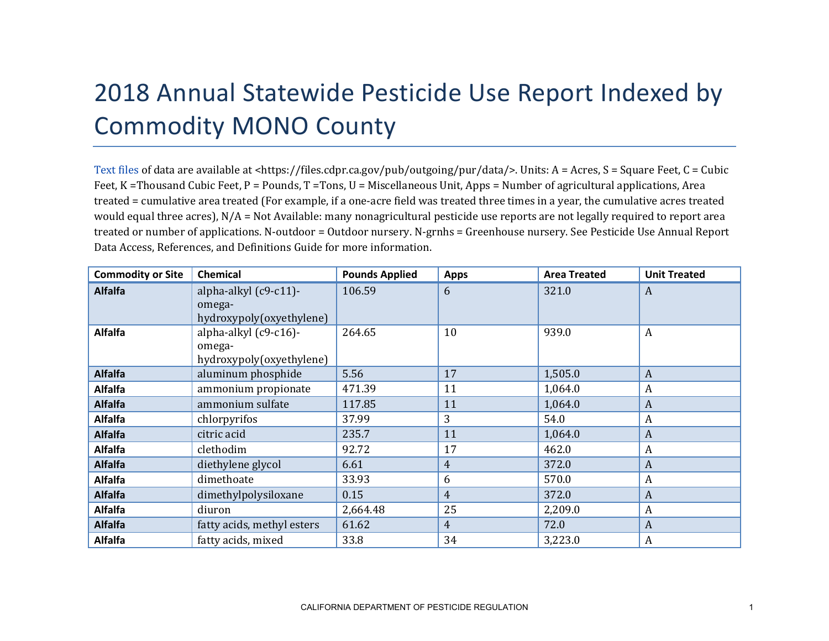## 2018 Annual Statewide Pesticide Use Report Indexed by Commodity MONO County

[Text files](https://files.cdpr.ca.gov/pub/outgoing/pur/data/) of data are available at <https://files.cdpr.ca.gov/pub/outgoing/pur/data/>. Units: A = Acres, S = Square Feet, C = Cubic Feet, K = Thousand Cubic Feet, P = Pounds, T = Tons, U = Miscellaneous Unit, Apps = Number of agricultural applications, Area treated = cumulative area treated (For example, if a one-acre field was treated three times in a year, the cumulative acres treated would equal three acres), N/A = Not Available: many nonagricultural pesticide use reports are not legally required to report area treated or number of applications. N-outdoor = Outdoor nursery. N-grnhs = Greenhouse nursery. See Pesticide Use Annual Report Data Access, References, and Definitions Guide for more information.

| <b>Commodity or Site</b> | <b>Chemical</b>                                             | <b>Pounds Applied</b> | <b>Apps</b> | <b>Area Treated</b> | <b>Unit Treated</b> |
|--------------------------|-------------------------------------------------------------|-----------------------|-------------|---------------------|---------------------|
| <b>Alfalfa</b>           | alpha-alkyl (c9-c11)-<br>omega-<br>hydroxypoly(oxyethylene) | 106.59                | 6           | 321.0               | A                   |
| <b>Alfalfa</b>           | alpha-alkyl (c9-c16)-<br>omega-<br>hydroxypoly(oxyethylene) | 264.65                | 10          | 939.0               | $\boldsymbol{A}$    |
| <b>Alfalfa</b>           | aluminum phosphide                                          | 5.56                  | 17          | 1,505.0             | A                   |
| <b>Alfalfa</b>           | ammonium propionate                                         | 471.39                | 11          | 1,064.0             | A                   |
| <b>Alfalfa</b>           | ammonium sulfate                                            | 117.85                | 11          | 1,064.0             | A                   |
| <b>Alfalfa</b>           | chlorpyrifos                                                | 37.99                 | 3           | 54.0                | A                   |
| <b>Alfalfa</b>           | citric acid                                                 | 235.7                 | 11          | 1,064.0             | A                   |
| <b>Alfalfa</b>           | clethodim                                                   | 92.72                 | 17          | 462.0               | A                   |
| <b>Alfalfa</b>           | diethylene glycol                                           | 6.61                  | 4           | 372.0               | A                   |
| <b>Alfalfa</b>           | dimethoate                                                  | 33.93                 | 6           | 570.0               | $\boldsymbol{A}$    |
| <b>Alfalfa</b>           | dimethylpolysiloxane                                        | 0.15                  | 4           | 372.0               | A                   |
| <b>Alfalfa</b>           | diuron                                                      | 2,664.48              | 25          | 2,209.0             | A                   |
| <b>Alfalfa</b>           | fatty acids, methyl esters                                  | 61.62                 | 4           | 72.0                | A                   |
| <b>Alfalfa</b>           | fatty acids, mixed                                          | 33.8                  | 34          | 3,223.0             | A                   |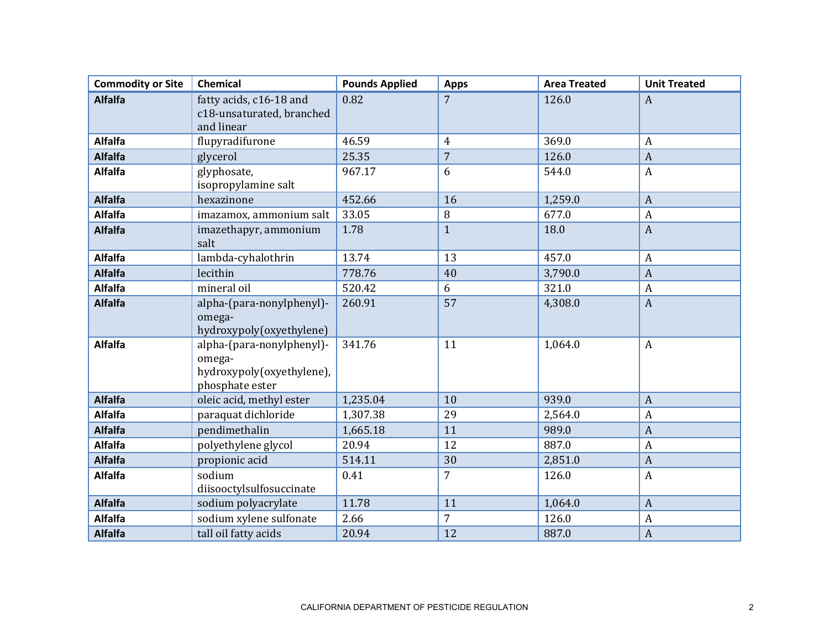| <b>Commodity or Site</b> | Chemical                                                                            | <b>Pounds Applied</b> | <b>Apps</b>    | <b>Area Treated</b> | <b>Unit Treated</b> |
|--------------------------|-------------------------------------------------------------------------------------|-----------------------|----------------|---------------------|---------------------|
| <b>Alfalfa</b>           | fatty acids, c16-18 and<br>c18-unsaturated, branched<br>and linear                  | 0.82                  | $\overline{7}$ | 126.0               | $\boldsymbol{A}$    |
| <b>Alfalfa</b>           | flupyradifurone                                                                     | 46.59                 | $\overline{4}$ | 369.0               | $\boldsymbol{A}$    |
| <b>Alfalfa</b>           | glycerol                                                                            | 25.35                 | $\overline{7}$ | 126.0               | $\boldsymbol{A}$    |
| Alfalfa                  | glyphosate,<br>isopropylamine salt                                                  | 967.17                | 6              | 544.0               | $\boldsymbol{A}$    |
| <b>Alfalfa</b>           | hexazinone                                                                          | 452.66                | 16             | 1,259.0             | $\overline{A}$      |
| <b>Alfalfa</b>           | imazamox, ammonium salt                                                             | 33.05                 | 8              | 677.0               | $\boldsymbol{A}$    |
| <b>Alfalfa</b>           | imazethapyr, ammonium<br>salt                                                       | 1.78                  | $\mathbf{1}$   | 18.0                | $\boldsymbol{A}$    |
| <b>Alfalfa</b>           | lambda-cyhalothrin                                                                  | 13.74                 | 13             | 457.0               | $\boldsymbol{A}$    |
| <b>Alfalfa</b>           | lecithin                                                                            | 778.76                | 40             | 3,790.0             | $\overline{A}$      |
| <b>Alfalfa</b>           | mineral oil                                                                         | 520.42                | 6              | 321.0               | $\boldsymbol{A}$    |
| <b>Alfalfa</b>           | alpha-(para-nonylphenyl)-<br>omega-<br>hydroxypoly(oxyethylene)                     | 260.91                | 57             | 4,308.0             | $\boldsymbol{A}$    |
| <b>Alfalfa</b>           | alpha-(para-nonylphenyl)-<br>omega-<br>hydroxypoly(oxyethylene),<br>phosphate ester | 341.76                | 11             | 1,064.0             | $\boldsymbol{A}$    |
| <b>Alfalfa</b>           | oleic acid, methyl ester                                                            | 1,235.04              | 10             | 939.0               | $\boldsymbol{A}$    |
| <b>Alfalfa</b>           | paraquat dichloride                                                                 | 1,307.38              | 29             | 2,564.0             | $\boldsymbol{A}$    |
| <b>Alfalfa</b>           | pendimethalin                                                                       | 1,665.18              | 11             | 989.0               | $\overline{A}$      |
| <b>Alfalfa</b>           | polyethylene glycol                                                                 | 20.94                 | 12             | 887.0               | $\boldsymbol{A}$    |
| <b>Alfalfa</b>           | propionic acid                                                                      | 514.11                | 30             | 2,851.0             | $\overline{A}$      |
| <b>Alfalfa</b>           | sodium<br>diisooctylsulfosuccinate                                                  | 0.41                  | 7              | 126.0               | $\boldsymbol{A}$    |
| <b>Alfalfa</b>           | sodium polyacrylate                                                                 | 11.78                 | 11             | 1,064.0             | $\overline{A}$      |
| <b>Alfalfa</b>           | sodium xylene sulfonate                                                             | 2.66                  | 7              | 126.0               | $\boldsymbol{A}$    |
| <b>Alfalfa</b>           | tall oil fatty acids                                                                | 20.94                 | 12             | 887.0               | $\boldsymbol{A}$    |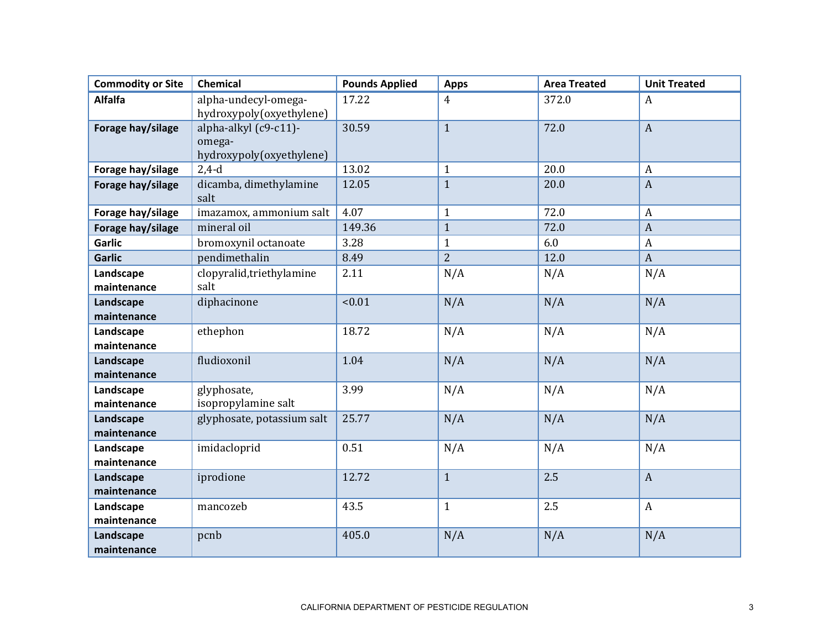| <b>Commodity or Site</b> | Chemical                                                    | <b>Pounds Applied</b> | <b>Apps</b>    | <b>Area Treated</b> | <b>Unit Treated</b> |
|--------------------------|-------------------------------------------------------------|-----------------------|----------------|---------------------|---------------------|
| <b>Alfalfa</b>           | alpha-undecyl-omega-<br>hydroxypoly(oxyethylene)            | 17.22                 | 4              | 372.0               | $\boldsymbol{A}$    |
| Forage hay/silage        | alpha-alkyl (c9-c11)-<br>omega-<br>hydroxypoly(oxyethylene) | 30.59                 | $\mathbf{1}$   | 72.0                | $\mathbf{A}$        |
| Forage hay/silage        | $2,4-d$                                                     | 13.02                 | $\mathbf{1}$   | 20.0                | $\boldsymbol{A}$    |
| Forage hay/silage        | dicamba, dimethylamine<br>salt                              | 12.05                 | $\mathbf{1}$   | 20.0                | $\boldsymbol{A}$    |
| Forage hay/silage        | imazamox, ammonium salt                                     | 4.07                  | $\mathbf{1}$   | 72.0                | $\boldsymbol{A}$    |
| Forage hay/silage        | mineral oil                                                 | 149.36                | $\mathbf{1}$   | 72.0                | $\mathbf{A}$        |
| <b>Garlic</b>            | bromoxynil octanoate                                        | 3.28                  | $\mathbf{1}$   | 6.0                 | $\boldsymbol{A}$    |
| <b>Garlic</b>            | pendimethalin                                               | 8.49                  | $\overline{2}$ | 12.0                | $\boldsymbol{A}$    |
| Landscape<br>maintenance | clopyralid, triethylamine<br>salt                           | 2.11                  | N/A            | N/A                 | N/A                 |
| Landscape<br>maintenance | diphacinone                                                 | < 0.01                | N/A            | N/A                 | N/A                 |
| Landscape<br>maintenance | ethephon                                                    | 18.72                 | N/A            | N/A                 | N/A                 |
| Landscape<br>maintenance | fludioxonil                                                 | 1.04                  | N/A            | N/A                 | N/A                 |
| Landscape<br>maintenance | glyphosate,<br>isopropylamine salt                          | 3.99                  | N/A            | N/A                 | N/A                 |
| Landscape<br>maintenance | glyphosate, potassium salt                                  | 25.77                 | N/A            | N/A                 | N/A                 |
| Landscape<br>maintenance | imidacloprid                                                | 0.51                  | N/A            | N/A                 | N/A                 |
| Landscape<br>maintenance | iprodione                                                   | 12.72                 | $\mathbf{1}$   | 2.5                 | $\boldsymbol{A}$    |
| Landscape<br>maintenance | mancozeb                                                    | 43.5                  | $\mathbf{1}$   | 2.5                 | $\boldsymbol{A}$    |
| Landscape<br>maintenance | pcnb                                                        | 405.0                 | N/A            | N/A                 | N/A                 |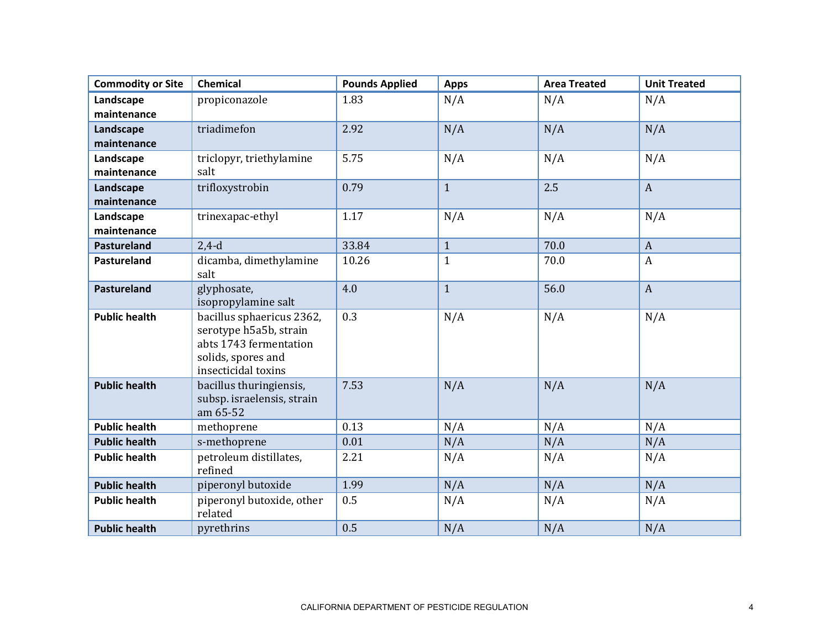| <b>Commodity or Site</b> | Chemical                                                                                                                   | <b>Pounds Applied</b> | <b>Apps</b>  | <b>Area Treated</b> | <b>Unit Treated</b> |
|--------------------------|----------------------------------------------------------------------------------------------------------------------------|-----------------------|--------------|---------------------|---------------------|
| Landscape                | propiconazole                                                                                                              | 1.83                  | N/A          | N/A                 | N/A                 |
| maintenance              |                                                                                                                            |                       |              |                     |                     |
| Landscape                | triadimefon                                                                                                                | 2.92                  | N/A          | N/A                 | N/A                 |
| maintenance              |                                                                                                                            |                       |              |                     |                     |
| Landscape                | triclopyr, triethylamine                                                                                                   | 5.75                  | N/A          | N/A                 | N/A                 |
| maintenance              | salt                                                                                                                       |                       |              |                     |                     |
| Landscape                | trifloxystrobin                                                                                                            | 0.79                  | $\mathbf{1}$ | 2.5                 | $\mathbf{A}$        |
| maintenance              |                                                                                                                            |                       |              |                     |                     |
| Landscape                | trinexapac-ethyl                                                                                                           | 1.17                  | N/A          | N/A                 | N/A                 |
| maintenance              |                                                                                                                            |                       |              |                     |                     |
| <b>Pastureland</b>       | $2,4-d$                                                                                                                    | 33.84                 | $\mathbf{1}$ | 70.0                | $\boldsymbol{A}$    |
| Pastureland              | dicamba, dimethylamine<br>salt                                                                                             | 10.26                 | $\mathbf{1}$ | 70.0                | $\boldsymbol{A}$    |
| Pastureland              | glyphosate,<br>isopropylamine salt                                                                                         | 4.0                   | $\mathbf{1}$ | 56.0                | $\mathbf{A}$        |
| <b>Public health</b>     | bacillus sphaericus 2362,<br>serotype h5a5b, strain<br>abts 1743 fermentation<br>solids, spores and<br>insecticidal toxins | 0.3                   | N/A          | N/A                 | N/A                 |
| <b>Public health</b>     | bacillus thuringiensis,<br>subsp. israelensis, strain<br>am 65-52                                                          | 7.53                  | N/A          | N/A                 | N/A                 |
| <b>Public health</b>     | methoprene                                                                                                                 | 0.13                  | N/A          | N/A                 | N/A                 |
| <b>Public health</b>     | s-methoprene                                                                                                               | 0.01                  | N/A          | N/A                 | N/A                 |
| <b>Public health</b>     | petroleum distillates,<br>refined                                                                                          | 2.21                  | N/A          | N/A                 | N/A                 |
| <b>Public health</b>     | piperonyl butoxide                                                                                                         | 1.99                  | N/A          | N/A                 | N/A                 |
| <b>Public health</b>     | piperonyl butoxide, other<br>related                                                                                       | 0.5                   | N/A          | N/A                 | N/A                 |
| <b>Public health</b>     | pyrethrins                                                                                                                 | 0.5                   | N/A          | N/A                 | N/A                 |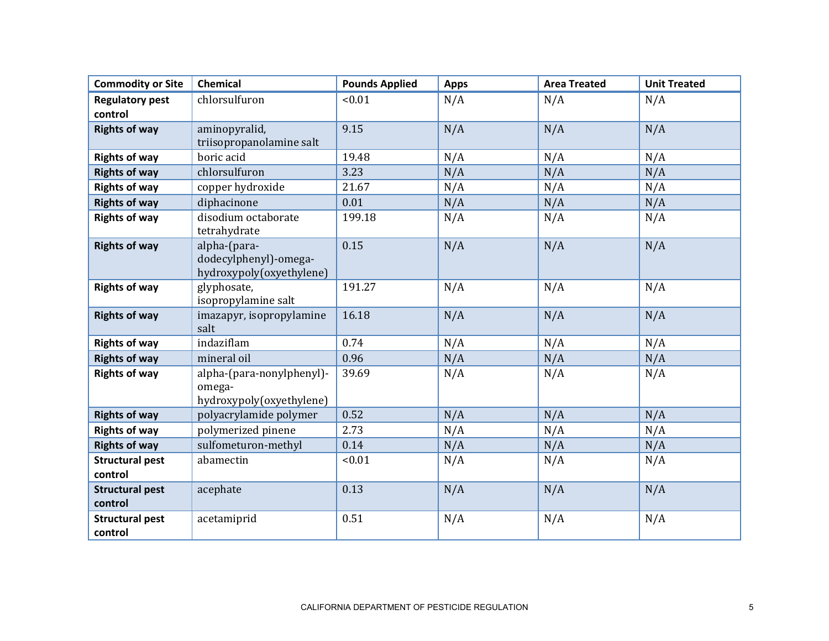| <b>Commodity or Site</b>          | <b>Chemical</b>                                                   | <b>Pounds Applied</b> | <b>Apps</b> | <b>Area Treated</b> | <b>Unit Treated</b> |
|-----------------------------------|-------------------------------------------------------------------|-----------------------|-------------|---------------------|---------------------|
| <b>Regulatory pest</b>            | chlorsulfuron                                                     | < 0.01                | N/A         | N/A                 | N/A                 |
| control                           |                                                                   |                       |             |                     |                     |
| <b>Rights of way</b>              | aminopyralid,                                                     | 9.15                  | N/A         | N/A                 | N/A                 |
|                                   | triisopropanolamine salt                                          |                       |             |                     |                     |
| <b>Rights of way</b>              | boric acid                                                        | 19.48                 | N/A         | N/A                 | N/A                 |
| <b>Rights of way</b>              | chlorsulfuron                                                     | 3.23                  | N/A         | N/A                 | N/A                 |
| <b>Rights of way</b>              | copper hydroxide                                                  | 21.67                 | N/A         | N/A                 | N/A                 |
| <b>Rights of way</b>              | diphacinone                                                       | 0.01                  | N/A         | N/A                 | N/A                 |
| <b>Rights of way</b>              | disodium octaborate<br>tetrahydrate                               | 199.18                | N/A         | N/A                 | N/A                 |
| <b>Rights of way</b>              | alpha-(para-<br>dodecylphenyl)-omega-<br>hydroxypoly(oxyethylene) | 0.15                  | N/A         | N/A                 | N/A                 |
| <b>Rights of way</b>              | glyphosate,<br>isopropylamine salt                                | 191.27                | N/A         | N/A                 | N/A                 |
| <b>Rights of way</b>              | imazapyr, isopropylamine<br>salt                                  | 16.18                 | N/A         | N/A                 | N/A                 |
| <b>Rights of way</b>              | indaziflam                                                        | 0.74                  | N/A         | N/A                 | N/A                 |
| <b>Rights of way</b>              | mineral oil                                                       | 0.96                  | N/A         | N/A                 | N/A                 |
| <b>Rights of way</b>              | alpha-(para-nonylphenyl)-<br>omega-<br>hydroxypoly(oxyethylene)   | 39.69                 | N/A         | N/A                 | N/A                 |
| <b>Rights of way</b>              | polyacrylamide polymer                                            | 0.52                  | N/A         | N/A                 | N/A                 |
| <b>Rights of way</b>              | polymerized pinene                                                | 2.73                  | N/A         | N/A                 | N/A                 |
| <b>Rights of way</b>              | sulfometuron-methyl                                               | 0.14                  | N/A         | N/A                 | N/A                 |
| <b>Structural pest</b><br>control | abamectin                                                         | < 0.01                | N/A         | N/A                 | N/A                 |
| <b>Structural pest</b><br>control | acephate                                                          | 0.13                  | N/A         | N/A                 | N/A                 |
| <b>Structural pest</b><br>control | acetamiprid                                                       | 0.51                  | N/A         | N/A                 | N/A                 |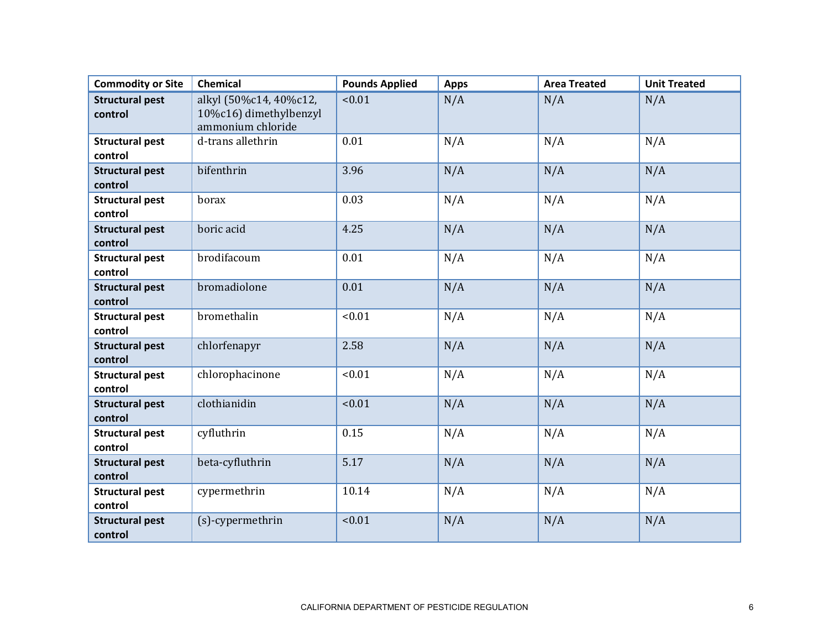| <b>Commodity or Site</b>          | Chemical                                                              | <b>Pounds Applied</b> | <b>Apps</b> | <b>Area Treated</b> | <b>Unit Treated</b> |
|-----------------------------------|-----------------------------------------------------------------------|-----------------------|-------------|---------------------|---------------------|
| <b>Structural pest</b><br>control | alkyl (50%c14, 40%c12,<br>10%c16) dimethylbenzyl<br>ammonium chloride | < 0.01                | N/A         | N/A                 | N/A                 |
| <b>Structural pest</b><br>control | d-trans allethrin                                                     | 0.01                  | N/A         | N/A                 | N/A                 |
| <b>Structural pest</b><br>control | bifenthrin                                                            | 3.96                  | N/A         | N/A                 | N/A                 |
| <b>Structural pest</b><br>control | borax                                                                 | 0.03                  | N/A         | N/A                 | N/A                 |
| <b>Structural pest</b><br>control | boric acid                                                            | 4.25                  | N/A         | N/A                 | N/A                 |
| <b>Structural pest</b><br>control | brodifacoum                                                           | 0.01                  | N/A         | N/A                 | N/A                 |
| <b>Structural pest</b><br>control | bromadiolone                                                          | 0.01                  | N/A         | N/A                 | N/A                 |
| <b>Structural pest</b><br>control | bromethalin                                                           | < 0.01                | N/A         | N/A                 | N/A                 |
| <b>Structural pest</b><br>control | chlorfenapyr                                                          | 2.58                  | N/A         | N/A                 | N/A                 |
| <b>Structural pest</b><br>control | chlorophacinone                                                       | < 0.01                | N/A         | N/A                 | N/A                 |
| <b>Structural pest</b><br>control | clothianidin                                                          | < 0.01                | N/A         | N/A                 | N/A                 |
| <b>Structural pest</b><br>control | cyfluthrin                                                            | 0.15                  | N/A         | N/A                 | N/A                 |
| <b>Structural pest</b><br>control | beta-cyfluthrin                                                       | 5.17                  | N/A         | N/A                 | N/A                 |
| <b>Structural pest</b><br>control | cypermethrin                                                          | 10.14                 | N/A         | N/A                 | N/A                 |
| <b>Structural pest</b><br>control | (s)-cypermethrin                                                      | < 0.01                | N/A         | N/A                 | N/A                 |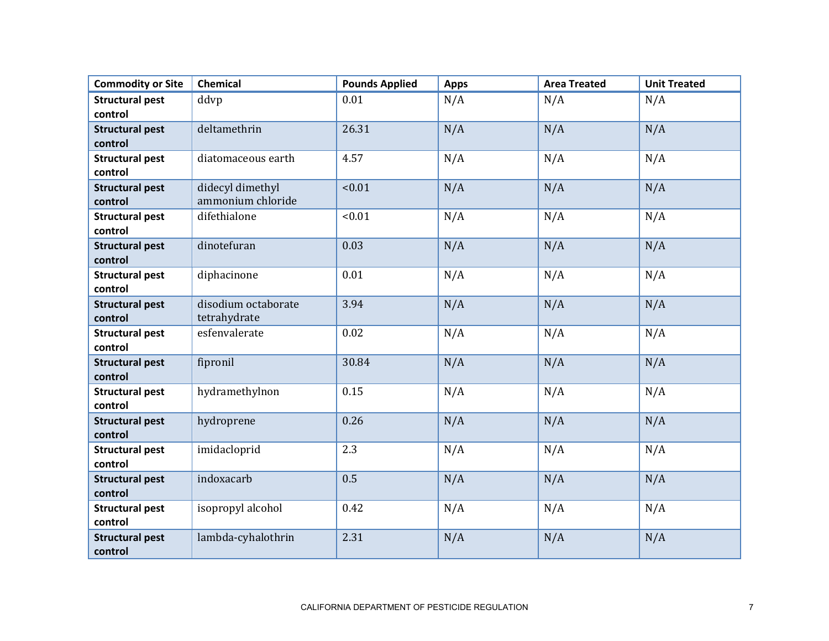| <b>Commodity or Site</b> | <b>Chemical</b>     | <b>Pounds Applied</b> | <b>Apps</b> | <b>Area Treated</b> | <b>Unit Treated</b> |
|--------------------------|---------------------|-----------------------|-------------|---------------------|---------------------|
| <b>Structural pest</b>   | ddvp                | 0.01                  | N/A         | N/A                 | N/A                 |
| control                  |                     |                       |             |                     |                     |
| <b>Structural pest</b>   | deltamethrin        | 26.31                 | N/A         | N/A                 | N/A                 |
| control                  |                     |                       |             |                     |                     |
| <b>Structural pest</b>   | diatomaceous earth  | 4.57                  | N/A         | N/A                 | N/A                 |
| control                  |                     |                       |             |                     |                     |
| <b>Structural pest</b>   | didecyl dimethyl    | < 0.01                | N/A         | N/A                 | N/A                 |
| control                  | ammonium chloride   |                       |             |                     |                     |
| <b>Structural pest</b>   | difethialone        | < 0.01                | N/A         | N/A                 | N/A                 |
| control                  |                     |                       |             |                     |                     |
| <b>Structural pest</b>   | dinotefuran         | 0.03                  | N/A         | N/A                 | N/A                 |
| control                  |                     |                       |             |                     |                     |
| <b>Structural pest</b>   | diphacinone         | 0.01                  | N/A         | N/A                 | N/A                 |
| control                  |                     |                       |             |                     |                     |
| <b>Structural pest</b>   | disodium octaborate | 3.94                  | N/A         | N/A                 | N/A                 |
| control                  | tetrahydrate        |                       |             |                     |                     |
| <b>Structural pest</b>   | esfenvalerate       | 0.02                  | N/A         | N/A                 | N/A                 |
| control                  |                     |                       |             |                     |                     |
| <b>Structural pest</b>   | fipronil            | 30.84                 | N/A         | N/A                 | N/A                 |
| control                  |                     |                       |             |                     |                     |
| <b>Structural pest</b>   | hydramethylnon      | 0.15                  | N/A         | N/A                 | N/A                 |
| control                  |                     |                       |             |                     |                     |
| <b>Structural pest</b>   | hydroprene          | 0.26                  | N/A         | N/A                 | N/A                 |
| control                  |                     |                       |             |                     |                     |
| <b>Structural pest</b>   | imidacloprid        | 2.3                   | N/A         | N/A                 | N/A                 |
| control                  |                     |                       |             |                     |                     |
| <b>Structural pest</b>   | indoxacarb          | 0.5                   | N/A         | N/A                 | N/A                 |
| control                  |                     |                       |             |                     |                     |
| <b>Structural pest</b>   | isopropyl alcohol   | 0.42                  | N/A         | N/A                 | N/A                 |
| control                  |                     |                       |             |                     |                     |
| <b>Structural pest</b>   | lambda-cyhalothrin  | 2.31                  | N/A         | N/A                 | N/A                 |
| control                  |                     |                       |             |                     |                     |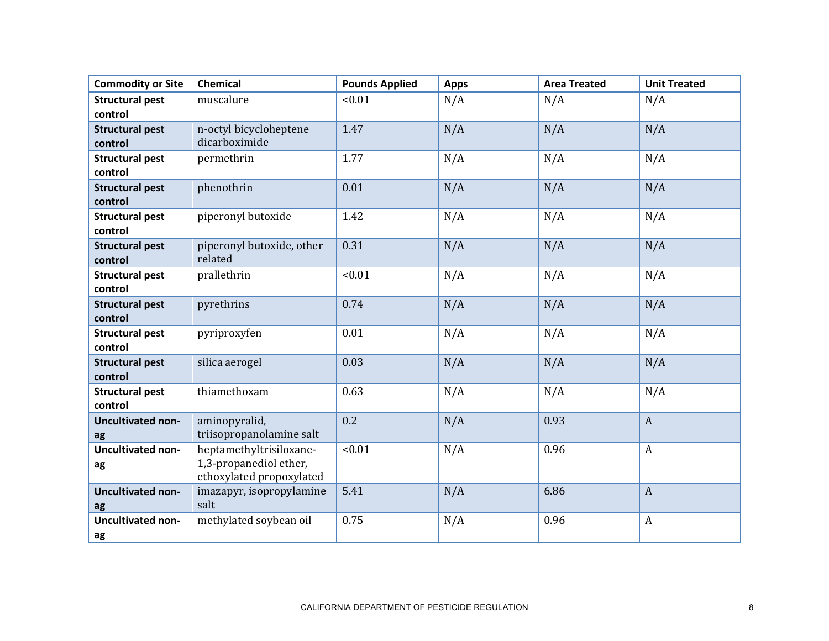| <b>Commodity or Site</b> | Chemical                  | <b>Pounds Applied</b> | <b>Apps</b> | <b>Area Treated</b> | <b>Unit Treated</b> |
|--------------------------|---------------------------|-----------------------|-------------|---------------------|---------------------|
| <b>Structural pest</b>   | muscalure                 | < 0.01                | N/A         | N/A                 | N/A                 |
| control                  |                           |                       |             |                     |                     |
| <b>Structural pest</b>   | n-octyl bicycloheptene    | 1.47                  | N/A         | N/A                 | N/A                 |
| control                  | dicarboximide             |                       |             |                     |                     |
| <b>Structural pest</b>   | permethrin                | 1.77                  | N/A         | N/A                 | N/A                 |
| control                  |                           |                       |             |                     |                     |
| <b>Structural pest</b>   | phenothrin                | 0.01                  | N/A         | N/A                 | N/A                 |
| control                  |                           |                       |             |                     |                     |
| <b>Structural pest</b>   | piperonyl butoxide        | 1.42                  | N/A         | N/A                 | N/A                 |
| control                  |                           |                       |             |                     |                     |
| <b>Structural pest</b>   | piperonyl butoxide, other | 0.31                  | N/A         | N/A                 | N/A                 |
| control                  | related                   |                       |             |                     |                     |
| <b>Structural pest</b>   | prallethrin               | < 0.01                | N/A         | N/A                 | N/A                 |
| control                  |                           |                       |             |                     |                     |
| <b>Structural pest</b>   | pyrethrins                | 0.74                  | N/A         | N/A                 | N/A                 |
| control                  |                           |                       |             |                     |                     |
| <b>Structural pest</b>   | pyriproxyfen              | 0.01                  | N/A         | N/A                 | N/A                 |
| control                  |                           |                       |             |                     |                     |
| <b>Structural pest</b>   | silica aerogel            | 0.03                  | N/A         | N/A                 | N/A                 |
| control                  |                           |                       |             |                     |                     |
| <b>Structural pest</b>   | thiamethoxam              | 0.63                  | N/A         | N/A                 | N/A                 |
| control                  |                           |                       |             |                     |                     |
| <b>Uncultivated non-</b> | aminopyralid,             | 0.2                   | N/A         | 0.93                | $\boldsymbol{A}$    |
| ag                       | triisopropanolamine salt  |                       |             |                     |                     |
| <b>Uncultivated non-</b> | heptamethyltrisiloxane-   | < 0.01                | N/A         | 0.96                | $\boldsymbol{A}$    |
| ag                       | 1,3-propanediol ether,    |                       |             |                     |                     |
|                          | ethoxylated propoxylated  |                       |             |                     |                     |
| <b>Uncultivated non-</b> | imazapyr, isopropylamine  | 5.41                  | N/A         | 6.86                | $\mathbf{A}$        |
| ag                       | salt                      |                       |             |                     |                     |
| <b>Uncultivated non-</b> | methylated soybean oil    | 0.75                  | N/A         | 0.96                | $\boldsymbol{A}$    |
| ag                       |                           |                       |             |                     |                     |